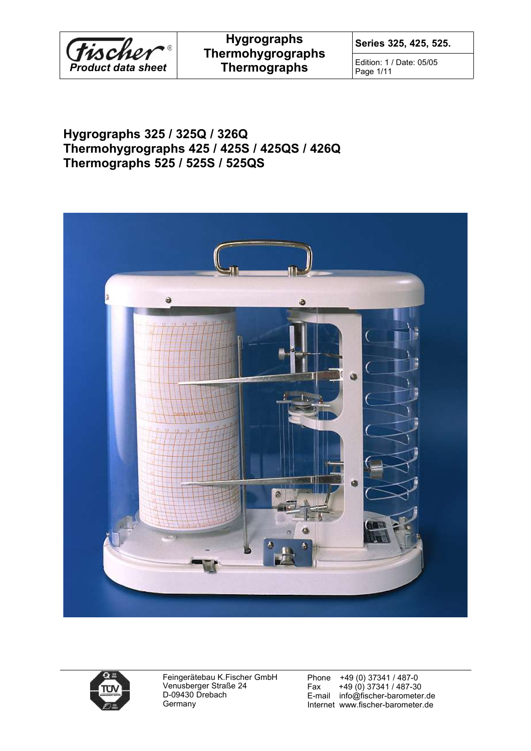

Edition: 1 / Date: 05/05 Page 1/11

# **Hygrographs 325 / 325Q / 326Q Thermohygrographs 425 / 425S / 425QS / 426Q Thermographs 525 / 525S / 525QS**





Feingerätebau K.Fischer GmbH Venusberger Straße 24 D-09430 Drebach **Germany**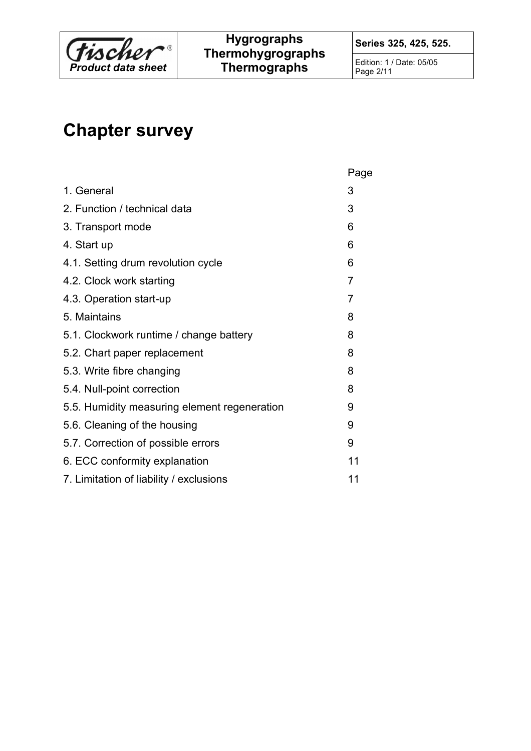

Edition: 1 / Date: 05/05 Page 2/11

# **Chapter survey**

|                                              | Page           |
|----------------------------------------------|----------------|
| 1. General                                   | 3              |
| 2. Function / technical data                 | 3              |
| 3. Transport mode                            | 6              |
| 4. Start up                                  | 6              |
| 4.1. Setting drum revolution cycle           | 6              |
| 4.2. Clock work starting                     | 7              |
| 4.3. Operation start-up                      | $\overline{7}$ |
| 5. Maintains                                 | 8              |
| 5.1. Clockwork runtime / change battery      | 8              |
| 5.2. Chart paper replacement                 | 8              |
| 5.3. Write fibre changing                    | 8              |
| 5.4. Null-point correction                   | 8              |
| 5.5. Humidity measuring element regeneration | 9              |
| 5.6. Cleaning of the housing                 | 9              |
| 5.7. Correction of possible errors           | 9              |
| 6. ECC conformity explanation                | 11             |
| 7. Limitation of liability / exclusions      | 11             |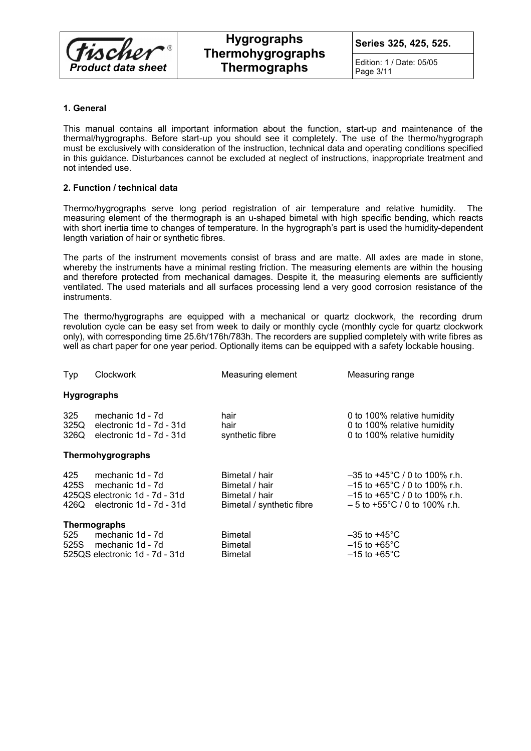

# **Series 325, 425, 525.**

Edition: 1 / Date: 05/05 Page 3/11

# **1. General**

This manual contains all important information about the function, start-up and maintenance of the thermal/hygrographs. Before start-up you should see it completely. The use of the thermo/hygrograph must be exclusively with consideration of the instruction, technical data and operating conditions specified in this guidance. Disturbances cannot be excluded at neglect of instructions, inappropriate treatment and not intended use.

## **2. Function / technical data**

Thermo/hygrographs serve long period registration of air temperature and relative humidity. The measuring element of the thermograph is an u-shaped bimetal with high specific bending, which reacts with short inertia time to changes of temperature. In the hygrograph's part is used the humidity-dependent length variation of hair or synthetic fibres.

The parts of the instrument movements consist of brass and are matte. All axles are made in stone, whereby the instruments have a minimal resting friction. The measuring elements are within the housing and therefore protected from mechanical damages. Despite it, the measuring elements are sufficiently ventilated. The used materials and all surfaces processing lend a very good corrosion resistance of the instruments.

The thermo/hygrographs are equipped with a mechanical or quartz clockwork, the recording drum revolution cycle can be easy set from week to daily or monthly cycle (monthly cycle for quartz clockwork only), with corresponding time 25.6h/176h/783h. The recorders are supplied completely with write fibres as well as chart paper for one year period. Optionally items can be equipped with a safety lockable housing.

Typ Clockwork Measuring element Measuring range

## **Hygrographs**

| 325 | mechanic 1d - 7d                | hair            | 0 to 100% relative humidity |
|-----|---------------------------------|-----------------|-----------------------------|
|     | $325Q$ electronic 1d - 7d - 31d | hair            | 0 to 100% relative humidity |
|     | $326Q$ electronic 1d - 7d - 31d | synthetic fibre | 0 to 100% relative humidity |

## **Thermohygrographs**

| 425<br>mechanic 1d - 7d<br>425S mechanic 1d - 7d                | Bimetal / hair<br>Bimetal / hair            | $-35$ to +45°C / 0 to 100% r.h.<br>$-15$ to +65°C / 0 to 100% r.h. |
|-----------------------------------------------------------------|---------------------------------------------|--------------------------------------------------------------------|
| 425QS electronic 1d - 7d - 31d<br>426Q electronic 1d - 7d - 31d | Bimetal / hair<br>Bimetal / synthetic fibre | $-15$ to +65°C / 0 to 100% r.h.<br>$-5$ to +55°C / 0 to 100% r.h.  |
| Thermographs                                                    |                                             |                                                                    |

| 525 | mechanic 1d - 7d               | <b>Bimetal</b> | $-35$ to +45°C. |
|-----|--------------------------------|----------------|-----------------|
|     | 525S mechanic 1d - 7d          | <b>Bimetal</b> | $-15$ to +65°C. |
|     | 525QS electronic 1d - 7d - 31d | Bimetal        | $-15$ to +65°C. |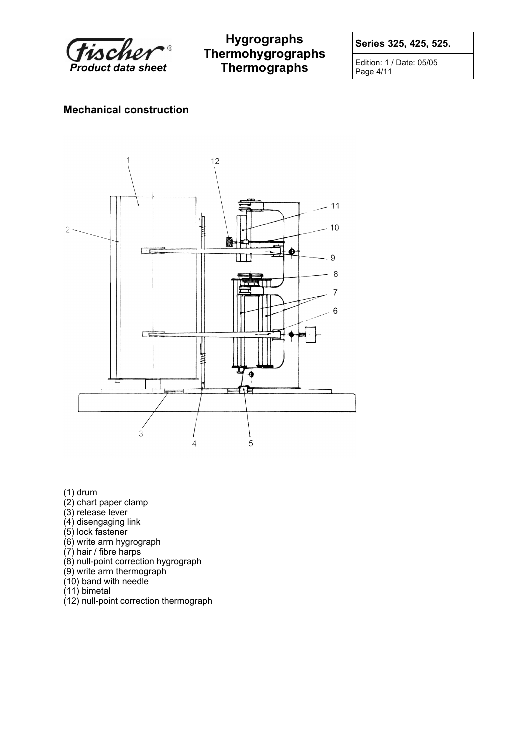

**Series 325, 425, 525.**

Edition: 1 / Date: 05/05 Page 4/11

# **Mechanical construction**



(1) drum

- (2) chart paper clamp
- (3) release lever
- (4) disengaging link
- (5) lock fastener
- (6) write arm hygrograph
- (7) hair / fibre harps
- (8) null-point correction hygrograph
- (9) write arm thermograph
- $(10)$  band with needle
- (11) bimetal
- (12) null-point correction thermograph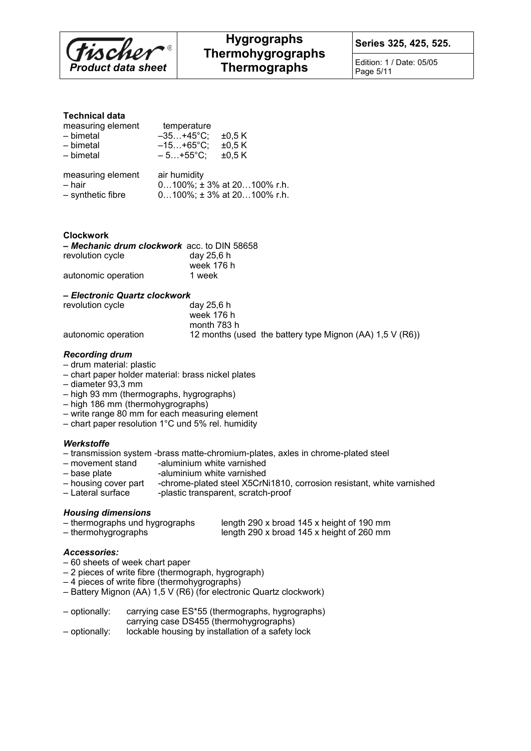

Edition: 1 / Date: 05/05 Page 5/11

# **Technical data**

| measuring element   | temperature                     |  |
|---------------------|---------------------------------|--|
| - bimetal           | $-35+45^{\circ}C$ ;<br>±0.5K    |  |
| - bimetal           | $±0,5$ K<br>$-15+65^{\circ}C$ ; |  |
| - bimetal           | $-5+55^{\circ}C$ ;<br>±0.5K     |  |
| measuring element   | air humidity                    |  |
| – hair              | $0100\%$ ; ± 3% at 20100% r.h.  |  |
| $-$ synthetic fibre | $0100\%$ ; ± 3% at 20100% r.h.  |  |

#### **Clockwork**

| - Mechanic drum clockwork acc. to DIN 58658 |            |
|---------------------------------------------|------------|
| revolution cycle                            | day 25,6 h |
|                                             | week 176 h |
| autonomic operation                         | 1 week     |

#### *– Electronic Quartz clockwork*

| revolution cycle    | day 25,6 h                                               |
|---------------------|----------------------------------------------------------|
|                     | week 176 h                                               |
|                     | month 783 h                                              |
| autonomic operation | 12 months (used the battery type Mignon (AA) 1,5 V (R6)) |

## *Recording drum*

- drum material: plastic
- chart paper holder material: brass nickel plates
- diameter 93,3 mm
- high 93 mm (thermographs, hygrographs)
- high 186 mm (thermohygrographs)
- write range 80 mm for each measuring element
- chart paper resolution 1°C und 5% rel. humidity

## *Werkstoffe*

- transmission system -brass matte-chromium-plates, axles in chrome-plated steel
- movement stand -aluminium white varnished<br>– base plate aluminium white varnished
	- -aluminium white varnished
- housing cover part -chrome-plated steel X5CrNi1810, corrosion resistant, white varnished
- 
- Lateral surface -plastic transparent, scratch-proof

## *Housing dimensions*

- thermographs und hygrographs length 290 x broad 145 x height of 190 mm
- thermohygrographs length 290 x broad 145 x height of 260 mm

# *Accessories:*

- 60 sheets of week chart paper
- 2 pieces of write fibre (thermograph, hygrograph)
- 4 pieces of write fibre (thermohygrographs)
- Battery Mignon (AA) 1,5 V (R6) (for electronic Quartz clockwork)
- optionally: carrying case ES\*55 (thermographs, hygrographs) carrying case DS455 (thermohygrographs)
- optionally: lockable housing by installation of a safety lock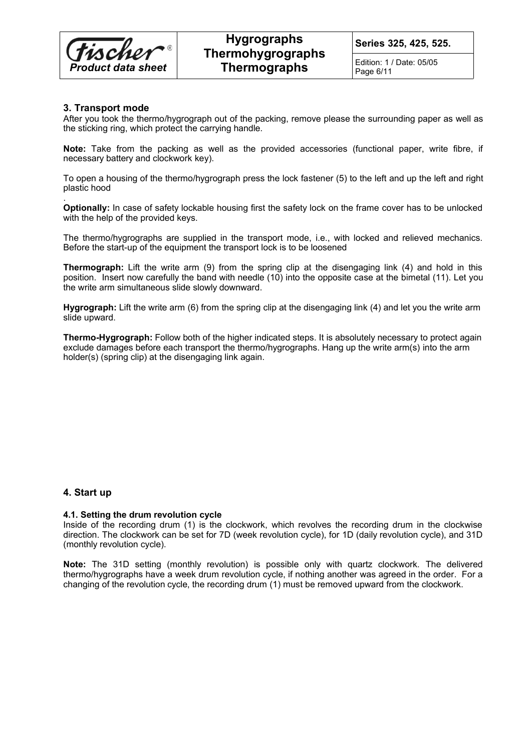

Edition: 1 / Date: 05/05 Page 6/11

# **3. Transport mode**

After you took the thermo/hygrograph out of the packing, remove please the surrounding paper as well as the sticking ring, which protect the carrying handle.

**Note:** Take from the packing as well as the provided accessories (functional paper, write fibre, if necessary battery and clockwork key).

To open a housing of the thermo/hygrograph press the lock fastener (5) to the left and up the left and right plastic hood

. **Optionally:** In case of safety lockable housing first the safety lock on the frame cover has to be unlocked with the help of the provided keys.

The thermo/hygrographs are supplied in the transport mode, i.e., with locked and relieved mechanics. Before the start-up of the equipment the transport lock is to be loosened

**Thermograph:** Lift the write arm (9) from the spring clip at the disengaging link (4) and hold in this position. Insert now carefully the band with needle (10) into the opposite case at the bimetal (11). Let you the write arm simultaneous slide slowly downward.

**Hygrograph:** Lift the write arm (6) from the spring clip at the disengaging link (4) and let you the write arm slide upward.

**Thermo-Hygrograph:** Follow both of the higher indicated steps. It is absolutely necessary to protect again exclude damages before each transport the thermo/hygrographs. Hang up the write arm(s) into the arm holder(s) (spring clip) at the disengaging link again.

# **4. Start up**

## **4.1. Setting the drum revolution cycle**

Inside of the recording drum (1) is the clockwork, which revolves the recording drum in the clockwise direction. The clockwork can be set for 7D (week revolution cycle), for 1D (daily revolution cycle), and 31D (monthly revolution cycle).

**Note:** The 31D setting (monthly revolution) is possible only with quartz clockwork. The delivered thermo/hygrographs have a week drum revolution cycle, if nothing another was agreed in the order. For a changing of the revolution cycle, the recording drum (1) must be removed upward from the clockwork.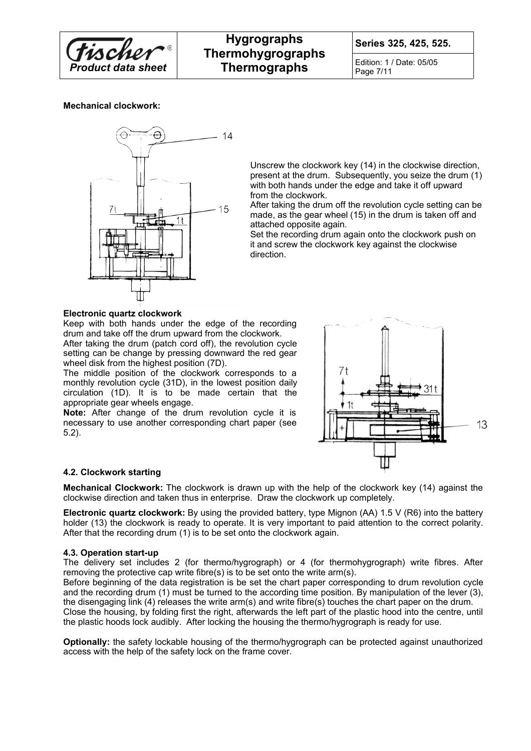

**Series 325, 425, 525.**

Edition: 1 / Date: 05/05 Page 7/11

# **Mechanical clockwork:**



Unscrew the clockwork key (14) in the clockwise direction, present at the drum. Subsequently, you seize the drum (1) with both hands under the edge and take it off upward from the clockwork.

After taking the drum off the revolution cycle setting can be made, as the gear wheel (15) in the drum is taken off and attached opposite again.

Set the recording drum again onto the clockwork push on it and screw the clockwork key against the clockwise direction.

# **Electronic quartz clockwork**

Keep with both hands under the edge of the recording drum and take off the drum upward from the clockwork. After taking the drum (patch cord off), the revolution cycle setting can be change by pressing downward the red gear wheel disk from the highest position (7D).

The middle position of the clockwork corresponds to a monthly revolution cycle (31D), in the lowest position daily circulation (1D). It is to be made certain that the appropriate gear wheels engage.

**Note:** After change of the drum revolution cycle it is necessary to use another corresponding chart paper (see 5.2).



# **4.2. Clockwork starting**

**Mechanical Clockwork:** The clockwork is drawn up with the help of the clockwork key (14) against the clockwise direction and taken thus in enterprise. Draw the clockwork up completely.

**Electronic quartz clockwork:** By using the provided battery, type Mignon (AA) 1.5 V (R6) into the battery holder (13) the clockwork is ready to operate. It is very important to paid attention to the correct polarity. After that the recording drum (1) is to be set onto the clockwork again.

## **4.3. Operation start-up**

The delivery set includes 2 (for thermo/hygrograph) or 4 (for thermohygrograph) write fibres. After removing the protective cap write fibre(s) is to be set onto the write arm(s).

Before beginning of the data registration is be set the chart paper corresponding to drum revolution cycle and the recording drum (1) must be turned to the according time position. By manipulation of the lever (3), the disengaging link (4) releases the write arm(s) and write fibre(s) touches the chart paper on the drum. Close the housing, by folding first the right, afterwards the left part of the plastic hood into the centre, until the plastic hoods lock audibly. After locking the housing the thermo/hygrograph is ready for use.

**Optionally:** the safety lockable housing of the thermo/hygrograph can be protected against unauthorized access with the help of the safety lock on the frame cover.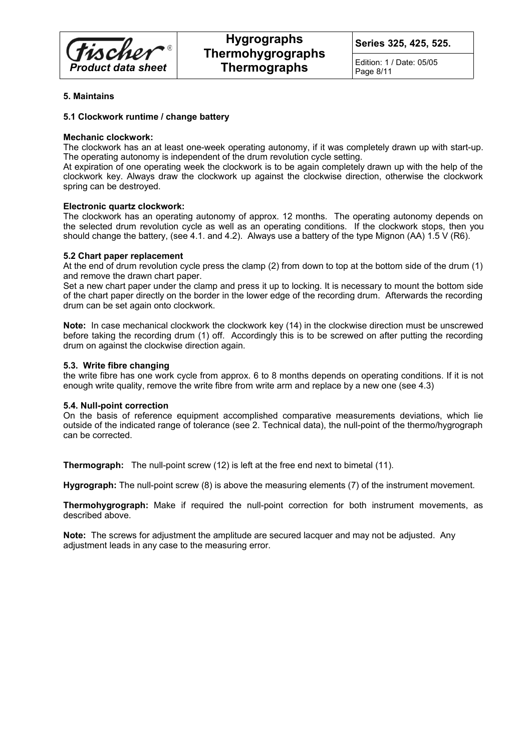

**Series 325, 425, 525.**

Edition: 1 / Date: 05/05 Page 8/11

## **5. Maintains**

## **5.1 Clockwork runtime / change battery**

## **Mechanic clockwork:**

The clockwork has an at least one-week operating autonomy, if it was completely drawn up with start-up. The operating autonomy is independent of the drum revolution cycle setting.

At expiration of one operating week the clockwork is to be again completely drawn up with the help of the clockwork key. Always draw the clockwork up against the clockwise direction, otherwise the clockwork spring can be destroyed.

# **Electronic quartz clockwork:**

The clockwork has an operating autonomy of approx. 12 months. The operating autonomy depends on the selected drum revolution cycle as well as an operating conditions. If the clockwork stops, then you should change the battery, (see 4.1. and 4.2). Always use a battery of the type Mignon (AA) 1.5 V (R6).

## **5.2 Chart paper replacement**

At the end of drum revolution cycle press the clamp (2) from down to top at the bottom side of the drum (1) and remove the drawn chart paper.

Set a new chart paper under the clamp and press it up to locking. It is necessary to mount the bottom side of the chart paper directly on the border in the lower edge of the recording drum. Afterwards the recording drum can be set again onto clockwork.

**Note:** In case mechanical clockwork the clockwork key (14) in the clockwise direction must be unscrewed before taking the recording drum (1) off. Accordingly this is to be screwed on after putting the recording drum on against the clockwise direction again.

## **5.3. Write fibre changing**

the write fibre has one work cycle from approx. 6 to 8 months depends on operating conditions. If it is not enough write quality, remove the write fibre from write arm and replace by a new one (see 4.3)

## **5.4. Null-point correction**

On the basis of reference equipment accomplished comparative measurements deviations, which lie outside of the indicated range of tolerance (see 2. Technical data), the null-point of the thermo/hygrograph can be corrected.

**Thermograph:** The null-point screw (12) is left at the free end next to bimetal (11).

**Hygrograph:** The null-point screw (8) is above the measuring elements (7) of the instrument movement.

**Thermohygrograph:** Make if required the null-point correction for both instrument movements, as described above.

**Note:** The screws for adjustment the amplitude are secured lacquer and may not be adjusted. Any adjustment leads in any case to the measuring error.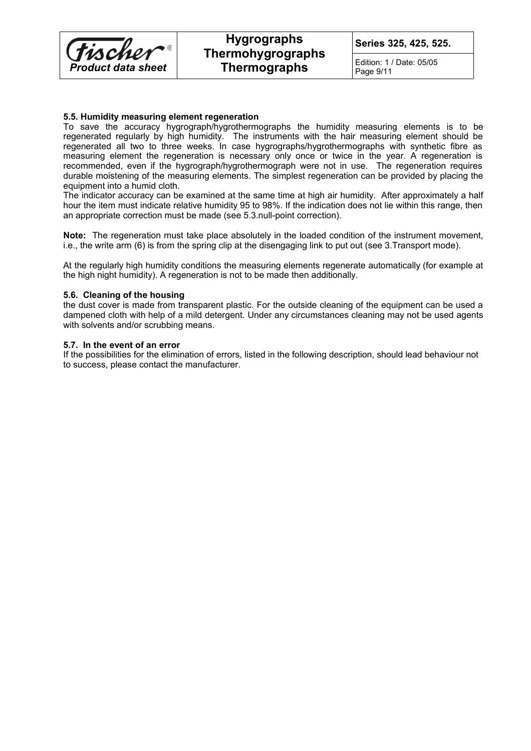

Edition: 1 / Date: 05/05 Page 9/11

# **5.5. Humidity measuring element regeneration**

To save the accuracy hygrograph/hygrothermographs the humidity measuring elements is to be regenerated regularly by high humidity. The instruments with the hair measuring element should be regenerated all two to three weeks. In case hygrographs/hygrothermographs with synthetic fibre as measuring element the regeneration is necessary only once or twice in the year. A regeneration is recommended, even if the hygrograph/hygrothermograph were not in use. The regeneration requires durable moistening of the measuring elements. The simplest regeneration can be provided by placing the equipment into a humid cloth.

The indicator accuracy can be examined at the same time at high air humidity. After approximately a half hour the item must indicate relative humidity 95 to 98%. If the indication does not lie within this range, then an appropriate correction must be made (see 5.3.null-point correction).

**Note:** The regeneration must take place absolutely in the loaded condition of the instrument movement, i.e., the write arm (6) is from the spring clip at the disengaging link to put out (see 3.Transport mode).

At the regularly high humidity conditions the measuring elements regenerate automatically (for example at the high night humidity). A regeneration is not to be made then additionally.

## **5.6. Cleaning of the housing**

the dust cover is made from transparent plastic. For the outside cleaning of the equipment can be used a dampened cloth with help of a mild detergent. Under any circumstances cleaning may not be used agents with solvents and/or scrubbing means.

#### **5.7. In the event of an error**

If the possibilities for the elimination of errors, listed in the following description, should lead behaviour not to success, please contact the manufacturer.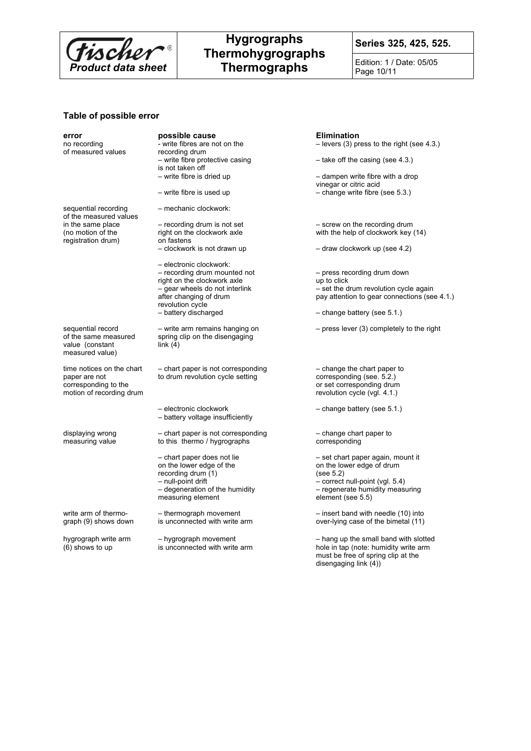

# **Series 325, 425, 525.**

Edition: 1 / Date: 05/05 Page 10/11

# **Table of possible error**

| error                                                                                          | possible cause                                                                                                                                            | <b>Elimination</b>                                                                                                                                                       |
|------------------------------------------------------------------------------------------------|-----------------------------------------------------------------------------------------------------------------------------------------------------------|--------------------------------------------------------------------------------------------------------------------------------------------------------------------------|
| no recording<br>of measured values                                                             | - write fibres are not on the<br>recording drum                                                                                                           | $-$ levers (3) press to the right (see 4.3.)                                                                                                                             |
|                                                                                                | - write fibre protective casing<br>is not taken off                                                                                                       | $-$ take off the casing (see 4.3.)                                                                                                                                       |
|                                                                                                | - write fibre is dried up                                                                                                                                 | - dampen write fibre with a drop<br>vinegar or citric acid                                                                                                               |
|                                                                                                | - write fibre is used up                                                                                                                                  | $-$ change write fibre (see 5.3.)                                                                                                                                        |
| sequential recording<br>of the measured values                                                 | - mechanic clockwork:                                                                                                                                     |                                                                                                                                                                          |
| in the same place<br>(no motion of the                                                         | - recording drum is not set<br>right on the clockwork axle                                                                                                | - screw on the recording drum<br>with the help of clockwork key (14)                                                                                                     |
| registration drum)                                                                             | on fastens                                                                                                                                                |                                                                                                                                                                          |
|                                                                                                | - clockwork is not drawn up                                                                                                                               | - draw clockwork up (see 4.2)                                                                                                                                            |
|                                                                                                | - electronic clockwork:                                                                                                                                   |                                                                                                                                                                          |
|                                                                                                | - recording drum mounted not                                                                                                                              | - press recording drum down                                                                                                                                              |
|                                                                                                | right on the clockwork axle                                                                                                                               | up to click                                                                                                                                                              |
|                                                                                                | - gear wheels do not interlink                                                                                                                            | - set the drum revolution cycle again                                                                                                                                    |
|                                                                                                | after changing of drum<br>revolution cycle                                                                                                                | pay attention to gear connections (see 4.1.)                                                                                                                             |
|                                                                                                | - battery discharged                                                                                                                                      | - change battery (see 5.1.)                                                                                                                                              |
| sequential record<br>of the same measured<br>value (constant<br>measured value)                | - write arm remains hanging on<br>spring clip on the disengaging<br>link $(4)$                                                                            | - press lever (3) completely to the right                                                                                                                                |
| time notices on the chart<br>paper are not<br>corresponding to the<br>motion of recording drum | - chart paper is not corresponding<br>to drum revolution cycle setting                                                                                    | - change the chart paper to<br>corresponding (see. 5.2.)<br>or set corresponding drum<br>revolution cycle (vgl. 4.1.)                                                    |
|                                                                                                | - electronic clockwork<br>- battery voltage insufficiently                                                                                                | - change battery (see 5.1.)                                                                                                                                              |
| displaying wrong<br>measuring value                                                            | - chart paper is not corresponding<br>to this thermo / hygrographs                                                                                        | - change chart paper to<br>corresponding                                                                                                                                 |
|                                                                                                | - chart paper does not lie<br>on the lower edge of the<br>recording drum (1)<br>- null-point drift<br>- degeneration of the humidity<br>measuring element | - set chart paper again, mount it<br>on the lower edge of drum<br>(see 5.2)<br>$-$ correct null-point (vgl. 5.4)<br>- regenerate humidity measuring<br>element (see 5.5) |
| write arm of thermo-<br>graph (9) shows down                                                   | - thermograph movement<br>is unconnected with write arm                                                                                                   | - insert band with needle (10) into<br>over-lying case of the bimetal (11)                                                                                               |
| hygrograph write arm<br>(6) shows to up                                                        | - hygrograph movement<br>is unconnected with write arm                                                                                                    | - hang up the small band with slotted<br>hole in tap (note: humidity write arm<br>must be free of spring clip at the<br>disengaging link (4))                            |
|                                                                                                |                                                                                                                                                           |                                                                                                                                                                          |